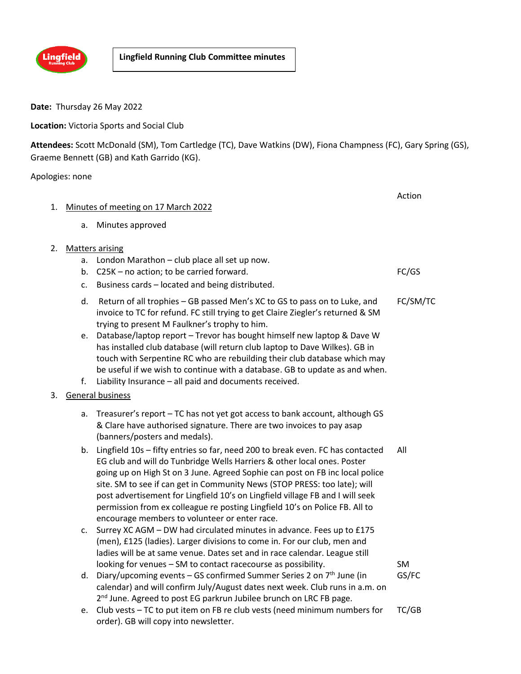

**Date:** Thursday 26 May 2022

**Location:** Victoria Sports and Social Club

**Attendees:** Scott McDonald (SM), Tom Cartledge (TC), Dave Watkins (DW), Fiona Champness (FC), Gary Spring (GS), Graeme Bennett (GB) and Kath Garrido (KG).

Apologies: none

|    |                                     |                                                                                                                                                                                                                                                                                                                                                                                                                                                                                                                                         | Action   |  |
|----|-------------------------------------|-----------------------------------------------------------------------------------------------------------------------------------------------------------------------------------------------------------------------------------------------------------------------------------------------------------------------------------------------------------------------------------------------------------------------------------------------------------------------------------------------------------------------------------------|----------|--|
| 1. | Minutes of meeting on 17 March 2022 |                                                                                                                                                                                                                                                                                                                                                                                                                                                                                                                                         |          |  |
|    | a.                                  | Minutes approved                                                                                                                                                                                                                                                                                                                                                                                                                                                                                                                        |          |  |
| 2. |                                     | <b>Matters arising</b>                                                                                                                                                                                                                                                                                                                                                                                                                                                                                                                  |          |  |
|    | a.                                  | London Marathon - club place all set up now.                                                                                                                                                                                                                                                                                                                                                                                                                                                                                            |          |  |
|    | b.                                  | C25K - no action; to be carried forward.                                                                                                                                                                                                                                                                                                                                                                                                                                                                                                | FC/GS    |  |
|    | c.                                  | Business cards - located and being distributed.                                                                                                                                                                                                                                                                                                                                                                                                                                                                                         |          |  |
|    | d.                                  | Return of all trophies - GB passed Men's XC to GS to pass on to Luke, and<br>invoice to TC for refund. FC still trying to get Claire Ziegler's returned & SM<br>trying to present M Faulkner's trophy to him.                                                                                                                                                                                                                                                                                                                           | FC/SM/TC |  |
|    | e.                                  | Database/laptop report - Trevor has bought himself new laptop & Dave W<br>has installed club database (will return club laptop to Dave Wilkes). GB in<br>touch with Serpentine RC who are rebuilding their club database which may                                                                                                                                                                                                                                                                                                      |          |  |
|    |                                     | be useful if we wish to continue with a database. GB to update as and when.                                                                                                                                                                                                                                                                                                                                                                                                                                                             |          |  |
|    | f.                                  | Liability Insurance - all paid and documents received.                                                                                                                                                                                                                                                                                                                                                                                                                                                                                  |          |  |
| 3. |                                     | <b>General business</b>                                                                                                                                                                                                                                                                                                                                                                                                                                                                                                                 |          |  |
|    | a.                                  | Treasurer's report - TC has not yet got access to bank account, although GS<br>& Clare have authorised signature. There are two invoices to pay asap<br>(banners/posters and medals).                                                                                                                                                                                                                                                                                                                                                   |          |  |
|    | b.                                  | Lingfield 10s - fifty entries so far, need 200 to break even. FC has contacted<br>EG club and will do Tunbridge Wells Harriers & other local ones. Poster<br>going up on High St on 3 June. Agreed Sophie can post on FB inc local police<br>site. SM to see if can get in Community News (STOP PRESS: too late); will<br>post advertisement for Lingfield 10's on Lingfield village FB and I will seek<br>permission from ex colleague re posting Lingfield 10's on Police FB. All to<br>encourage members to volunteer or enter race. | All      |  |
|    | c.                                  | Surrey XC AGM - DW had circulated minutes in advance. Fees up to £175<br>(men), £125 (ladies). Larger divisions to come in. For our club, men and<br>ladies will be at same venue. Dates set and in race calendar. League still                                                                                                                                                                                                                                                                                                         |          |  |
|    |                                     | looking for venues - SM to contact racecourse as possibility.                                                                                                                                                                                                                                                                                                                                                                                                                                                                           | SM       |  |
|    | d.                                  | Diary/upcoming events – GS confirmed Summer Series 2 on $7th$ June (in<br>calendar) and will confirm July/August dates next week. Club runs in a.m. on<br>2 <sup>nd</sup> June. Agreed to post EG parkrun Jubilee brunch on LRC FB page.                                                                                                                                                                                                                                                                                                | GS/FC    |  |
|    | e.                                  | Club vests - TC to put item on FB re club vests (need minimum numbers for<br>order). GB will copy into newsletter.                                                                                                                                                                                                                                                                                                                                                                                                                      | TC/GB    |  |